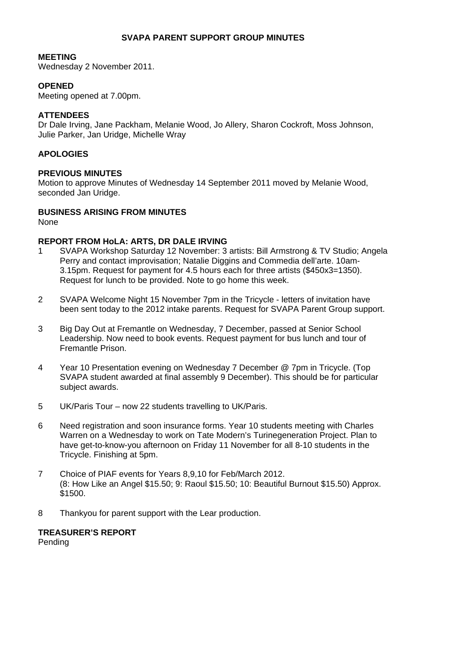## **SVAPA PARENT SUPPORT GROUP MINUTES**

#### **MEETING**

Wednesday 2 November 2011.

## **OPENED**

Meeting opened at 7.00pm.

### **ATTENDEES**

Dr Dale Irving, Jane Packham, Melanie Wood, Jo Allery, Sharon Cockroft, Moss Johnson, Julie Parker, Jan Uridge, Michelle Wray

## **APOLOGIES**

### **PREVIOUS MINUTES**

Motion to approve Minutes of Wednesday 14 September 2011 moved by Melanie Wood, seconded Jan Uridge.

#### **BUSINESS ARISING FROM MINUTES**

None

#### **REPORT FROM HoLA: ARTS, DR DALE IRVING**

- 1 SVAPA Workshop Saturday 12 November: 3 artists: Bill Armstrong & TV Studio; Angela Perry and contact improvisation; Natalie Diggins and Commedia dell'arte. 10am-3.15pm. Request for payment for 4.5 hours each for three artists (\$450x3=1350). Request for lunch to be provided. Note to go home this week.
- 2 SVAPA Welcome Night 15 November 7pm in the Tricycle letters of invitation have been sent today to the 2012 intake parents. Request for SVAPA Parent Group support.
- 3 Big Day Out at Fremantle on Wednesday, 7 December, passed at Senior School Leadership. Now need to book events. Request payment for bus lunch and tour of Fremantle Prison.
- 4 Year 10 Presentation evening on Wednesday 7 December @ 7pm in Tricycle. (Top SVAPA student awarded at final assembly 9 December). This should be for particular subject awards.
- 5 UK/Paris Tour now 22 students travelling to UK/Paris.
- 6 Need registration and soon insurance forms. Year 10 students meeting with Charles Warren on a Wednesday to work on Tate Modern's Turinegeneration Project. Plan to have get-to-know-you afternoon on Friday 11 November for all 8-10 students in the Tricycle. Finishing at 5pm.
- 7 Choice of PIAF events for Years 8,9,10 for Feb/March 2012. (8: How Like an Angel \$15.50; 9: Raoul \$15.50; 10: Beautiful Burnout \$15.50) Approx. \$1500.
- 8 Thankyou for parent support with the Lear production.

# **TREASURER'S REPORT**

Pending